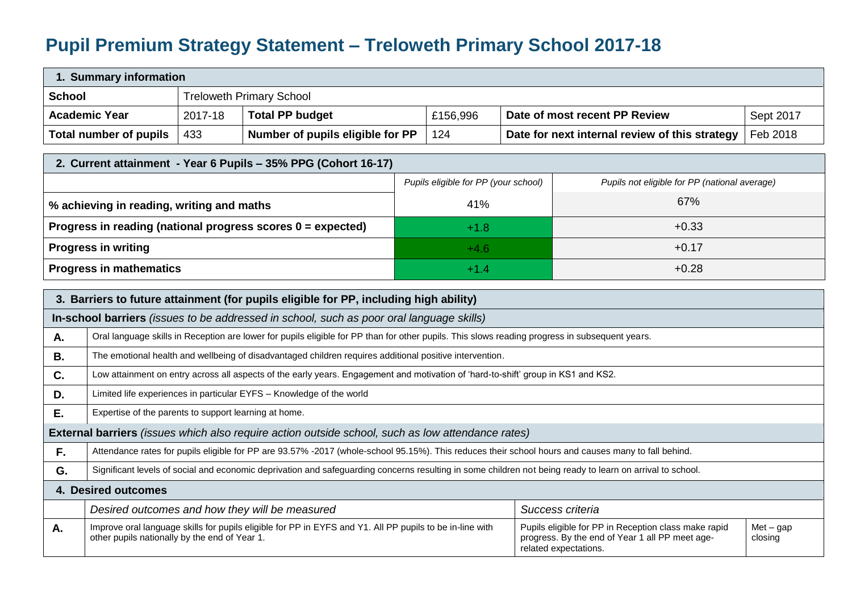## **Pupil Premium Strategy Statement – Treloweth Primary School 2017-18**

| 1. Summary information |                                                       |         |                                                                                                                                                           |  |                                      |  |                                                                                                                                  |                        |
|------------------------|-------------------------------------------------------|---------|-----------------------------------------------------------------------------------------------------------------------------------------------------------|--|--------------------------------------|--|----------------------------------------------------------------------------------------------------------------------------------|------------------------|
| <b>School</b>          |                                                       |         | <b>Treloweth Primary School</b>                                                                                                                           |  |                                      |  |                                                                                                                                  |                        |
|                        | <b>Academic Year</b>                                  | 2017-18 | <b>Total PP budget</b>                                                                                                                                    |  | £156,996                             |  | Date of most recent PP Review                                                                                                    | Sept 2017              |
|                        | <b>Total number of pupils</b>                         | 433     | Number of pupils eligible for PP                                                                                                                          |  | 124                                  |  | Date for next internal review of this strategy                                                                                   | Feb 2018               |
|                        |                                                       |         | 2. Current attainment - Year 6 Pupils - 35% PPG (Cohort 16-17)                                                                                            |  |                                      |  |                                                                                                                                  |                        |
|                        |                                                       |         |                                                                                                                                                           |  | Pupils eligible for PP (your school) |  | Pupils not eligible for PP (national average)                                                                                    |                        |
|                        |                                                       |         |                                                                                                                                                           |  |                                      |  |                                                                                                                                  |                        |
|                        | % achieving in reading, writing and maths             |         |                                                                                                                                                           |  | 41%                                  |  | 67%                                                                                                                              |                        |
|                        |                                                       |         | Progress in reading (national progress scores 0 = expected)                                                                                               |  | $+1.8$                               |  | $+0.33$                                                                                                                          |                        |
|                        | <b>Progress in writing</b>                            |         |                                                                                                                                                           |  | $+4.6$                               |  | $+0.17$                                                                                                                          |                        |
|                        | <b>Progress in mathematics</b>                        |         |                                                                                                                                                           |  | $+1.4$                               |  | $+0.28$                                                                                                                          |                        |
|                        |                                                       |         | 3. Barriers to future attainment (for pupils eligible for PP, including high ability)                                                                     |  |                                      |  |                                                                                                                                  |                        |
|                        |                                                       |         | In-school barriers (issues to be addressed in school, such as poor oral language skills)                                                                  |  |                                      |  |                                                                                                                                  |                        |
| А.                     |                                                       |         | Oral language skills in Reception are lower for pupils eligible for PP than for other pupils. This slows reading progress in subsequent years.            |  |                                      |  |                                                                                                                                  |                        |
|                        |                                                       |         |                                                                                                                                                           |  |                                      |  |                                                                                                                                  |                        |
| <b>B.</b>              |                                                       |         | The emotional health and wellbeing of disadvantaged children requires additional positive intervention.                                                   |  |                                      |  |                                                                                                                                  |                        |
| C.                     |                                                       |         | Low attainment on entry across all aspects of the early years. Engagement and motivation of 'hard-to-shift' group in KS1 and KS2.                         |  |                                      |  |                                                                                                                                  |                        |
| D.                     |                                                       |         | Limited life experiences in particular EYFS - Knowledge of the world                                                                                      |  |                                      |  |                                                                                                                                  |                        |
| Ε.                     | Expertise of the parents to support learning at home. |         |                                                                                                                                                           |  |                                      |  |                                                                                                                                  |                        |
|                        |                                                       |         | External barriers (issues which also require action outside school, such as low attendance rates)                                                         |  |                                      |  |                                                                                                                                  |                        |
| $F_{\rm r}$            |                                                       |         | Attendance rates for pupils eligible for PP are 93.57% -2017 (whole-school 95.15%). This reduces their school hours and causes many to fall behind.       |  |                                      |  |                                                                                                                                  |                        |
| G.                     |                                                       |         | Significant levels of social and economic deprivation and safeguarding concerns resulting in some children not being ready to learn on arrival to school. |  |                                      |  |                                                                                                                                  |                        |
|                        | 4. Desired outcomes                                   |         |                                                                                                                                                           |  |                                      |  |                                                                                                                                  |                        |
|                        |                                                       |         | Desired outcomes and how they will be measured                                                                                                            |  |                                      |  | Success criteria                                                                                                                 |                        |
| Α.                     | other pupils nationally by the end of Year 1.         |         | Improve oral language skills for pupils eligible for PP in EYFS and Y1. All PP pupils to be in-line with                                                  |  |                                      |  | Pupils eligible for PP in Reception class make rapid<br>progress. By the end of Year 1 all PP meet age-<br>related expectations. | $Met - gap$<br>closing |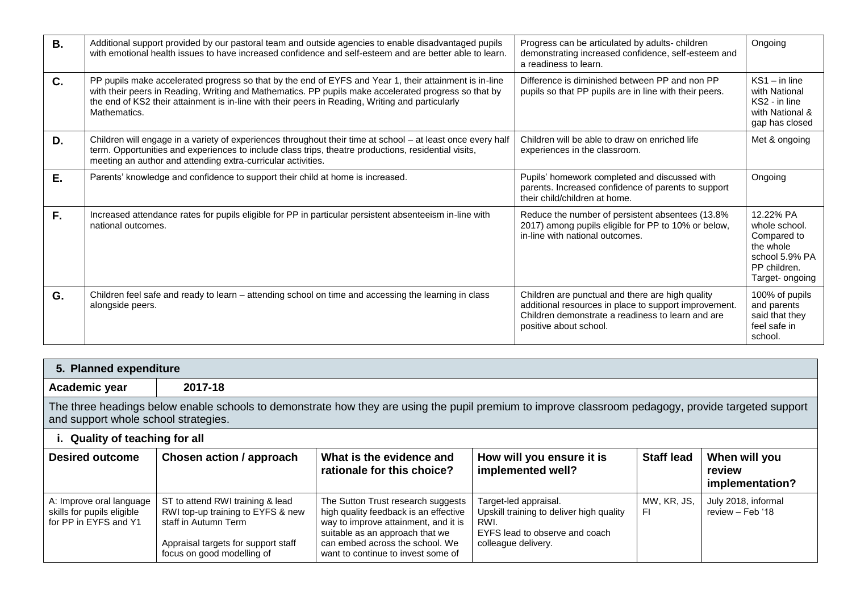| <b>B.</b> | Additional support provided by our pastoral team and outside agencies to enable disadvantaged pupils<br>with emotional health issues to have increased confidence and self-esteem and are better able to learn.                                                                                                                    | Progress can be articulated by adults-children<br>demonstrating increased confidence, self-esteem and<br>a readiness to learn.                                                           | Ongoing                                                                                                     |
|-----------|------------------------------------------------------------------------------------------------------------------------------------------------------------------------------------------------------------------------------------------------------------------------------------------------------------------------------------|------------------------------------------------------------------------------------------------------------------------------------------------------------------------------------------|-------------------------------------------------------------------------------------------------------------|
| C.        | PP pupils make accelerated progress so that by the end of EYFS and Year 1, their attainment is in-line<br>with their peers in Reading, Writing and Mathematics. PP pupils make accelerated progress so that by<br>the end of KS2 their attainment is in-line with their peers in Reading, Writing and particularly<br>Mathematics. | Difference is diminished between PP and non PP<br>pupils so that PP pupils are in line with their peers.                                                                                 | $KS1 - in line$<br>with National<br>KS2 - in line<br>with National &<br>gap has closed                      |
| D.        | Children will engage in a variety of experiences throughout their time at school - at least once every half<br>term. Opportunities and experiences to include class trips, theatre productions, residential visits,<br>meeting an author and attending extra-curricular activities.                                                | Children will be able to draw on enriched life<br>experiences in the classroom.                                                                                                          | Met & ongoing                                                                                               |
| E.        | Parents' knowledge and confidence to support their child at home is increased.                                                                                                                                                                                                                                                     | Pupils' homework completed and discussed with<br>parents. Increased confidence of parents to support<br>their child/children at home.                                                    | Ongoing                                                                                                     |
| F.        | Increased attendance rates for pupils eligible for PP in particular persistent absenteeism in-line with<br>national outcomes.                                                                                                                                                                                                      | Reduce the number of persistent absentees (13.8%)<br>2017) among pupils eligible for PP to 10% or below,<br>in-line with national outcomes.                                              | 12.22% PA<br>whole school.<br>Compared to<br>the whole<br>school 5.9% PA<br>PP children.<br>Target- ongoing |
| G.        | Children feel safe and ready to learn - attending school on time and accessing the learning in class<br>alongside peers.                                                                                                                                                                                                           | Children are punctual and there are high quality<br>additional resources in place to support improvement.<br>Children demonstrate a readiness to learn and are<br>positive about school. | 100% of pupils<br>and parents<br>said that they<br>feel safe in<br>school.                                  |

| 5. Planned expenditure                                                                                                                                                                      |         |  |  |  |  |
|---------------------------------------------------------------------------------------------------------------------------------------------------------------------------------------------|---------|--|--|--|--|
| Academic year                                                                                                                                                                               | 2017-18 |  |  |  |  |
| The three headings below enable schools to demonstrate how they are using the pupil premium to improve classroom pedagogy, provide targeted support<br>and support whole school strategies. |         |  |  |  |  |
| i. Quality of teaching for all                                                                                                                                                              |         |  |  |  |  |

| <b>Desired outcome</b>                                                          | Chosen action / approach                                                                                                                                           | What is the evidence and<br>rationale for this choice?                                                                                                                                                                          | How will you ensure it is<br>implemented well?                                                                                     | <b>Staff lead</b>  | When will you<br>review<br>implementation? |
|---------------------------------------------------------------------------------|--------------------------------------------------------------------------------------------------------------------------------------------------------------------|---------------------------------------------------------------------------------------------------------------------------------------------------------------------------------------------------------------------------------|------------------------------------------------------------------------------------------------------------------------------------|--------------------|--------------------------------------------|
| A: Improve oral language<br>skills for pupils eligible<br>for PP in EYFS and Y1 | ST to attend RWI training & lead<br>RWI top-up training to EYFS & new<br>staff in Autumn Term<br>Appraisal targets for support staff<br>focus on good modelling of | The Sutton Trust research suggests<br>high quality feedback is an effective<br>way to improve attainment, and it is<br>suitable as an approach that we<br>can embed across the school. We<br>want to continue to invest some of | Target-led appraisal.<br>Upskill training to deliver high quality<br>RWI.<br>EYFS lead to observe and coach<br>colleague delivery. | MW, KR, JS,<br>-FI | July 2018, informal<br>review – Feb '18    |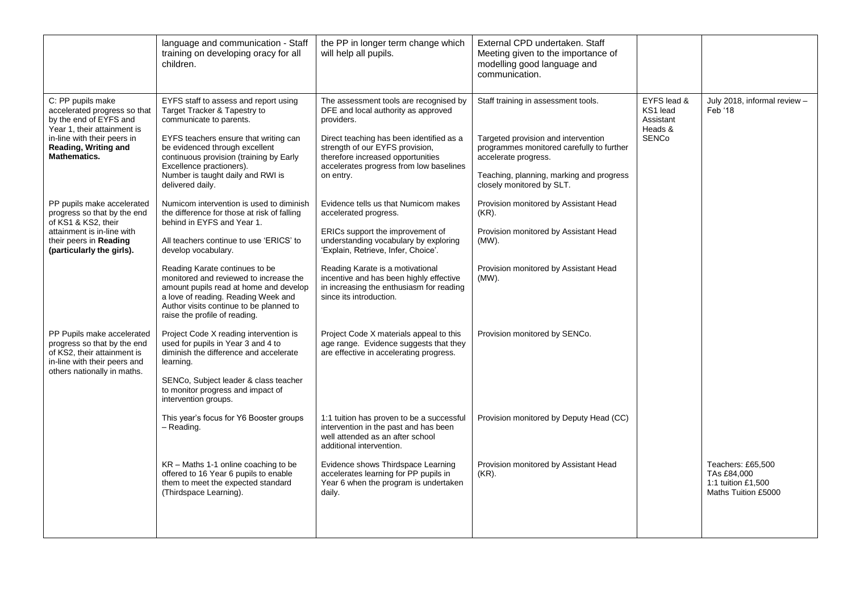|                                                                                                                                                                                          | language and communication - Staff<br>training on developing oracy for all<br>children.                                                                                                                                                                                                                                                                                                                                          | the PP in longer term change which<br>will help all pupils.                                                                                                                                                                                                                                                                             | External CPD undertaken. Staff<br>Meeting given to the importance of<br>modelling good language and<br>communication.                                                                                                    |                                                                 |                                                                               |
|------------------------------------------------------------------------------------------------------------------------------------------------------------------------------------------|----------------------------------------------------------------------------------------------------------------------------------------------------------------------------------------------------------------------------------------------------------------------------------------------------------------------------------------------------------------------------------------------------------------------------------|-----------------------------------------------------------------------------------------------------------------------------------------------------------------------------------------------------------------------------------------------------------------------------------------------------------------------------------------|--------------------------------------------------------------------------------------------------------------------------------------------------------------------------------------------------------------------------|-----------------------------------------------------------------|-------------------------------------------------------------------------------|
| C: PP pupils make<br>accelerated progress so that<br>by the end of EYFS and<br>Year 1, their attainment is<br>in-line with their peers in<br>Reading, Writing and<br><b>Mathematics.</b> | EYFS staff to assess and report using<br>Target Tracker & Tapestry to<br>communicate to parents.<br>EYFS teachers ensure that writing can<br>be evidenced through excellent<br>continuous provision (training by Early<br>Excellence practioners).<br>Number is taught daily and RWI is<br>delivered daily.                                                                                                                      | The assessment tools are recognised by<br>DFE and local authority as approved<br>providers.<br>Direct teaching has been identified as a<br>strength of our EYFS provision,<br>therefore increased opportunities<br>accelerates progress from low baselines<br>on entry.                                                                 | Staff training in assessment tools.<br>Targeted provision and intervention<br>programmes monitored carefully to further<br>accelerate progress.<br>Teaching, planning, marking and progress<br>closely monitored by SLT. | EYFS lead &<br>KS1 lead<br>Assistant<br>Heads &<br><b>SENCo</b> | July 2018, informal review -<br>Feb '18                                       |
| PP pupils make accelerated<br>progress so that by the end<br>of KS1 & KS2, their<br>attainment is in-line with<br>their peers in <b>Reading</b><br>(particularly the girls).             | Numicom intervention is used to diminish<br>the difference for those at risk of falling<br>behind in EYFS and Year 1.<br>All teachers continue to use 'ERICS' to<br>develop vocabulary.<br>Reading Karate continues to be<br>monitored and reviewed to increase the<br>amount pupils read at home and develop<br>a love of reading. Reading Week and<br>Author visits continue to be planned to<br>raise the profile of reading. | Evidence tells us that Numicom makes<br>accelerated progress.<br>ERICs support the improvement of<br>understanding vocabulary by exploring<br>'Explain, Retrieve, Infer, Choice'.<br>Reading Karate is a motivational<br>incentive and has been highly effective<br>in increasing the enthusiasm for reading<br>since its introduction. | Provision monitored by Assistant Head<br>$(KR)$ .<br>Provision monitored by Assistant Head<br>(MW).<br>Provision monitored by Assistant Head<br>(MW).                                                                    |                                                                 |                                                                               |
| PP Pupils make accelerated<br>progress so that by the end<br>of KS2, their attainment is<br>in-line with their peers and<br>others nationally in maths.                                  | Project Code X reading intervention is<br>used for pupils in Year 3 and 4 to<br>diminish the difference and accelerate<br>learning.<br>SENCo, Subject leader & class teacher<br>to monitor progress and impact of<br>intervention groups.<br>This year's focus for Y6 Booster groups<br>- Reading.                                                                                                                               | Project Code X materials appeal to this<br>age range. Evidence suggests that they<br>are effective in accelerating progress.<br>1:1 tuition has proven to be a successful<br>intervention in the past and has been<br>well attended as an after school<br>additional intervention.                                                      | Provision monitored by SENCo.<br>Provision monitored by Deputy Head (CC)                                                                                                                                                 |                                                                 |                                                                               |
|                                                                                                                                                                                          | $KR - \text{Maths } 1\text{-}1$ online coaching to be<br>offered to 16 Year 6 pupils to enable<br>them to meet the expected standard<br>(Thirdspace Learning).                                                                                                                                                                                                                                                                   | Evidence shows Thirdspace Learning<br>accelerates learning for PP pupils in<br>Year 6 when the program is undertaken<br>daily.                                                                                                                                                                                                          | Provision monitored by Assistant Head<br>$(KR)$ .                                                                                                                                                                        |                                                                 | Teachers: £65,500<br>TAs £84,000<br>1:1 tuition £1,500<br>Maths Tuition £5000 |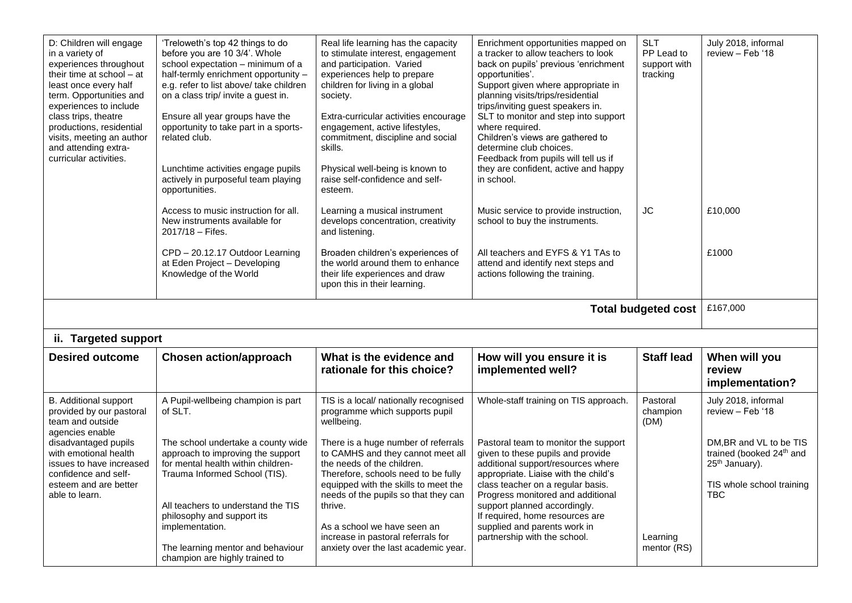| D: Children will engage<br>in a variety of<br>experiences throughout<br>their time at school - at<br>least once every half<br>term. Opportunities and<br>experiences to include<br>class trips, theatre<br>productions, residential<br>visits, meeting an author<br>and attending extra-<br>curricular activities. | 'Treloweth's top 42 things to do<br>before you are 10 3/4'. Whole<br>school expectation - minimum of a<br>half-termly enrichment opportunity -<br>e.g. refer to list above/ take children<br>on a class trip/ invite a guest in.<br>Ensure all year groups have the<br>opportunity to take part in a sports-<br>related club.<br>Lunchtime activities engage pupils<br>actively in purposeful team playing<br>opportunities. | Real life learning has the capacity<br>to stimulate interest, engagement<br>and participation. Varied<br>experiences help to prepare<br>children for living in a global<br>society.<br>Extra-curricular activities encourage<br>engagement, active lifestyles,<br>commitment, discipline and social<br>skills.<br>Physical well-being is known to<br>raise self-confidence and self-<br>esteem. | Enrichment opportunities mapped on<br>a tracker to allow teachers to look<br>back on pupils' previous 'enrichment<br>opportunities'.<br>Support given where appropriate in<br>planning visits/trips/residential<br>trips/inviting guest speakers in.<br>SLT to monitor and step into support<br>where required.<br>Children's views are gathered to<br>determine club choices.<br>Feedback from pupils will tell us if<br>they are confident, active and happy<br>in school. | <b>SLT</b><br>PP Lead to<br>support with<br>tracking | July 2018, informal<br>review - Feb '18                                                                                                  |  |
|--------------------------------------------------------------------------------------------------------------------------------------------------------------------------------------------------------------------------------------------------------------------------------------------------------------------|------------------------------------------------------------------------------------------------------------------------------------------------------------------------------------------------------------------------------------------------------------------------------------------------------------------------------------------------------------------------------------------------------------------------------|-------------------------------------------------------------------------------------------------------------------------------------------------------------------------------------------------------------------------------------------------------------------------------------------------------------------------------------------------------------------------------------------------|------------------------------------------------------------------------------------------------------------------------------------------------------------------------------------------------------------------------------------------------------------------------------------------------------------------------------------------------------------------------------------------------------------------------------------------------------------------------------|------------------------------------------------------|------------------------------------------------------------------------------------------------------------------------------------------|--|
|                                                                                                                                                                                                                                                                                                                    | Access to music instruction for all.<br>New instruments available for<br>2017/18 - Fifes.                                                                                                                                                                                                                                                                                                                                    | Learning a musical instrument<br>develops concentration, creativity<br>and listening.                                                                                                                                                                                                                                                                                                           | Music service to provide instruction,<br>school to buy the instruments.                                                                                                                                                                                                                                                                                                                                                                                                      | JC                                                   | £10,000                                                                                                                                  |  |
|                                                                                                                                                                                                                                                                                                                    | CPD - 20.12.17 Outdoor Learning<br>at Eden Project - Developing<br>Knowledge of the World                                                                                                                                                                                                                                                                                                                                    | Broaden children's experiences of<br>the world around them to enhance<br>their life experiences and draw<br>upon this in their learning.                                                                                                                                                                                                                                                        | All teachers and EYFS & Y1 TAs to<br>attend and identify next steps and<br>actions following the training.                                                                                                                                                                                                                                                                                                                                                                   |                                                      | £1000                                                                                                                                    |  |
| £167,000<br><b>Total budgeted cost</b>                                                                                                                                                                                                                                                                             |                                                                                                                                                                                                                                                                                                                                                                                                                              |                                                                                                                                                                                                                                                                                                                                                                                                 |                                                                                                                                                                                                                                                                                                                                                                                                                                                                              |                                                      |                                                                                                                                          |  |
|                                                                                                                                                                                                                                                                                                                    |                                                                                                                                                                                                                                                                                                                                                                                                                              |                                                                                                                                                                                                                                                                                                                                                                                                 |                                                                                                                                                                                                                                                                                                                                                                                                                                                                              |                                                      |                                                                                                                                          |  |
| ii. Targeted support                                                                                                                                                                                                                                                                                               |                                                                                                                                                                                                                                                                                                                                                                                                                              |                                                                                                                                                                                                                                                                                                                                                                                                 |                                                                                                                                                                                                                                                                                                                                                                                                                                                                              |                                                      |                                                                                                                                          |  |
| <b>Desired outcome</b>                                                                                                                                                                                                                                                                                             | <b>Chosen action/approach</b>                                                                                                                                                                                                                                                                                                                                                                                                | What is the evidence and<br>rationale for this choice?                                                                                                                                                                                                                                                                                                                                          | How will you ensure it is<br>implemented well?                                                                                                                                                                                                                                                                                                                                                                                                                               | <b>Staff lead</b>                                    | When will you<br>review<br>implementation?                                                                                               |  |
| <b>B.</b> Additional support<br>provided by our pastoral<br>team and outside                                                                                                                                                                                                                                       | A Pupil-wellbeing champion is part<br>of SLT.                                                                                                                                                                                                                                                                                                                                                                                | TIS is a local/ nationally recognised<br>programme which supports pupil<br>wellbeing.                                                                                                                                                                                                                                                                                                           | Whole-staff training on TIS approach.                                                                                                                                                                                                                                                                                                                                                                                                                                        | Pastoral<br>champion<br>(DM)                         | July 2018, informal<br>review - Feb '18                                                                                                  |  |
| agencies enable<br>disadvantaged pupils<br>with emotional health<br>issues to have increased<br>confidence and self-<br>esteem and are better<br>able to learn.                                                                                                                                                    | The school undertake a county wide<br>approach to improving the support<br>for mental health within children-<br>Trauma Informed School (TIS).                                                                                                                                                                                                                                                                               | There is a huge number of referrals<br>to CAMHS and they cannot meet all<br>the needs of the children.<br>Therefore, schools need to be fully<br>equipped with the skills to meet the<br>needs of the pupils so that they can                                                                                                                                                                   | Pastoral team to monitor the support<br>given to these pupils and provide<br>additional support/resources where<br>appropriate. Liaise with the child's<br>class teacher on a regular basis.<br>Progress monitored and additional                                                                                                                                                                                                                                            |                                                      | DM, BR and VL to be TIS<br>trained (booked 24 <sup>th</sup> and<br>25 <sup>th</sup> January).<br>TIS whole school training<br><b>TBC</b> |  |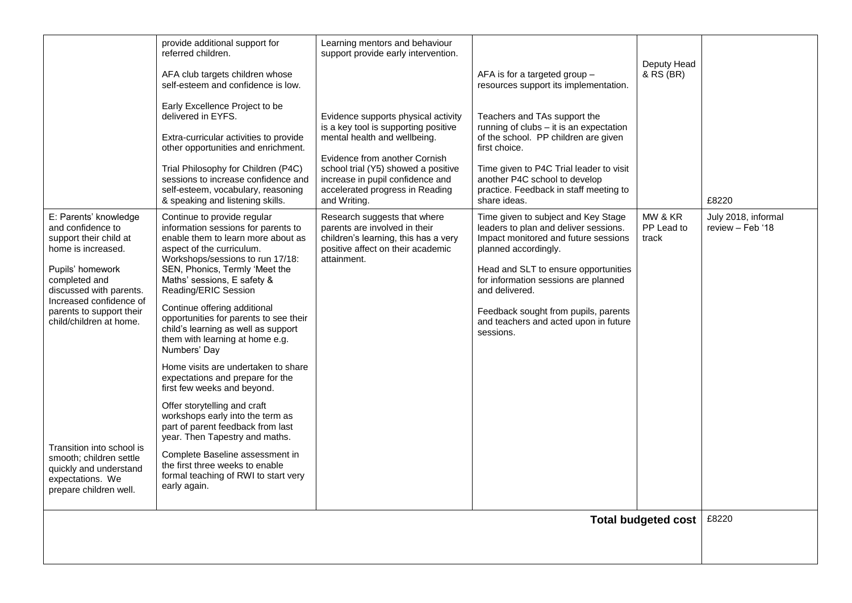|                                                                                                                                                                                                                                              | provide additional support for<br>referred children.                                                                                                                                                                                                                                                                                                                                                                                   | Learning mentors and behaviour<br>support provide early intervention.                                                                                       |                                                                                                                                                                                                                                                                                                                                              |                                |                                          |
|----------------------------------------------------------------------------------------------------------------------------------------------------------------------------------------------------------------------------------------------|----------------------------------------------------------------------------------------------------------------------------------------------------------------------------------------------------------------------------------------------------------------------------------------------------------------------------------------------------------------------------------------------------------------------------------------|-------------------------------------------------------------------------------------------------------------------------------------------------------------|----------------------------------------------------------------------------------------------------------------------------------------------------------------------------------------------------------------------------------------------------------------------------------------------------------------------------------------------|--------------------------------|------------------------------------------|
|                                                                                                                                                                                                                                              | AFA club targets children whose<br>self-esteem and confidence is low.                                                                                                                                                                                                                                                                                                                                                                  |                                                                                                                                                             | AFA is for a targeted group -<br>resources support its implementation.                                                                                                                                                                                                                                                                       | Deputy Head<br>& RS (BR)       |                                          |
|                                                                                                                                                                                                                                              | Early Excellence Project to be<br>delivered in EYFS.                                                                                                                                                                                                                                                                                                                                                                                   | Evidence supports physical activity<br>is a key tool is supporting positive                                                                                 | Teachers and TAs support the<br>running of clubs - it is an expectation                                                                                                                                                                                                                                                                      |                                |                                          |
|                                                                                                                                                                                                                                              | Extra-curricular activities to provide<br>other opportunities and enrichment.                                                                                                                                                                                                                                                                                                                                                          | mental health and wellbeing.                                                                                                                                | of the school. PP children are given<br>first choice.                                                                                                                                                                                                                                                                                        |                                |                                          |
|                                                                                                                                                                                                                                              | Trial Philosophy for Children (P4C)<br>sessions to increase confidence and<br>self-esteem, vocabulary, reasoning<br>& speaking and listening skills.                                                                                                                                                                                                                                                                                   | Evidence from another Cornish<br>school trial (Y5) showed a positive<br>increase in pupil confidence and<br>accelerated progress in Reading<br>and Writing. | Time given to P4C Trial leader to visit<br>another P4C school to develop<br>practice. Feedback in staff meeting to<br>share ideas.                                                                                                                                                                                                           |                                | £8220                                    |
| E: Parents' knowledge<br>and confidence to<br>support their child at<br>home is increased.<br>Pupils' homework<br>completed and<br>discussed with parents.<br>Increased confidence of<br>parents to support their<br>child/children at home. | Continue to provide regular<br>information sessions for parents to<br>enable them to learn more about as<br>aspect of the curriculum.<br>Workshops/sessions to run 17/18:<br>SEN, Phonics, Termly 'Meet the<br>Maths' sessions, E safety &<br>Reading/ERIC Session<br>Continue offering additional<br>opportunities for parents to see their<br>child's learning as well as support<br>them with learning at home e.g.<br>Numbers' Day | Research suggests that where<br>parents are involved in their<br>children's learning, this has a very<br>positive affect on their academic<br>attainment.   | Time given to subject and Key Stage<br>leaders to plan and deliver sessions.<br>Impact monitored and future sessions<br>planned accordingly.<br>Head and SLT to ensure opportunities<br>for information sessions are planned<br>and delivered.<br>Feedback sought from pupils, parents<br>and teachers and acted upon in future<br>sessions. | MW & KR<br>PP Lead to<br>track | July 2018, informal<br>$review - Feb'18$ |
|                                                                                                                                                                                                                                              | Home visits are undertaken to share<br>expectations and prepare for the<br>first few weeks and beyond.                                                                                                                                                                                                                                                                                                                                 |                                                                                                                                                             |                                                                                                                                                                                                                                                                                                                                              |                                |                                          |
|                                                                                                                                                                                                                                              | Offer storytelling and craft<br>workshops early into the term as<br>part of parent feedback from last<br>year. Then Tapestry and maths.                                                                                                                                                                                                                                                                                                |                                                                                                                                                             |                                                                                                                                                                                                                                                                                                                                              |                                |                                          |
| Transition into school is<br>smooth; children settle<br>quickly and understand<br>expectations. We<br>prepare children well.                                                                                                                 | Complete Baseline assessment in<br>the first three weeks to enable<br>formal teaching of RWI to start very<br>early again.                                                                                                                                                                                                                                                                                                             |                                                                                                                                                             |                                                                                                                                                                                                                                                                                                                                              |                                |                                          |
|                                                                                                                                                                                                                                              |                                                                                                                                                                                                                                                                                                                                                                                                                                        |                                                                                                                                                             |                                                                                                                                                                                                                                                                                                                                              | <b>Total budgeted cost</b>     | £8220                                    |
|                                                                                                                                                                                                                                              |                                                                                                                                                                                                                                                                                                                                                                                                                                        |                                                                                                                                                             |                                                                                                                                                                                                                                                                                                                                              |                                |                                          |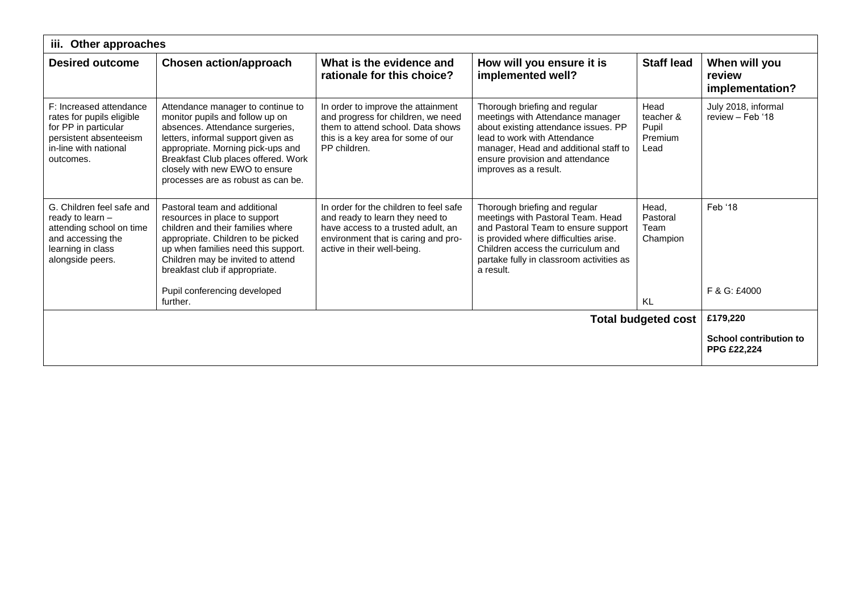| iii.<br>Other approaches                                                                                                                     |                                                                                                                                                                                                                                                                                                   |                                                                                                                                                                                       |                                                                                                                                                                                                                                                   |                                               |                                                     |  |  |
|----------------------------------------------------------------------------------------------------------------------------------------------|---------------------------------------------------------------------------------------------------------------------------------------------------------------------------------------------------------------------------------------------------------------------------------------------------|---------------------------------------------------------------------------------------------------------------------------------------------------------------------------------------|---------------------------------------------------------------------------------------------------------------------------------------------------------------------------------------------------------------------------------------------------|-----------------------------------------------|-----------------------------------------------------|--|--|
| <b>Desired outcome</b>                                                                                                                       | <b>Chosen action/approach</b>                                                                                                                                                                                                                                                                     | What is the evidence and<br>rationale for this choice?                                                                                                                                | How will you ensure it is<br>implemented well?                                                                                                                                                                                                    | <b>Staff lead</b>                             | When will you<br>review<br>implementation?          |  |  |
| F: Increased attendance<br>rates for pupils eligible<br>for PP in particular<br>persistent absenteeism<br>in-line with national<br>outcomes. | Attendance manager to continue to<br>monitor pupils and follow up on<br>absences. Attendance surgeries,<br>letters, informal support given as<br>appropriate. Morning pick-ups and<br>Breakfast Club places offered. Work<br>closely with new EWO to ensure<br>processes are as robust as can be. | In order to improve the attainment<br>and progress for children, we need<br>them to attend school. Data shows<br>this is a key area for some of our<br>PP children.                   | Thorough briefing and regular<br>meetings with Attendance manager<br>about existing attendance issues. PP<br>lead to work with Attendance<br>manager, Head and additional staff to<br>ensure provision and attendance<br>improves as a result.    | Head<br>teacher &<br>Pupil<br>Premium<br>Lead | July 2018, informal<br>review - Feb '18             |  |  |
| G. Children feel safe and<br>ready to learn $-$<br>attending school on time<br>and accessing the<br>learning in class<br>alongside peers.    | Pastoral team and additional<br>resources in place to support<br>children and their families where<br>appropriate. Children to be picked<br>up when families need this support.<br>Children may be invited to attend<br>breakfast club if appropriate.<br>Pupil conferencing developed            | In order for the children to feel safe<br>and ready to learn they need to<br>have access to a trusted adult, an<br>environment that is caring and pro-<br>active in their well-being. | Thorough briefing and regular<br>meetings with Pastoral Team. Head<br>and Pastoral Team to ensure support<br>is provided where difficulties arise.<br>Children access the curriculum and<br>partake fully in classroom activities as<br>a result. | Head,<br>Pastoral<br>Team<br>Champion         | Feb '18<br>F & G: £4000                             |  |  |
|                                                                                                                                              | further.                                                                                                                                                                                                                                                                                          |                                                                                                                                                                                       |                                                                                                                                                                                                                                                   | <b>KL</b>                                     |                                                     |  |  |
| £179,220<br><b>Total budgeted cost</b>                                                                                                       |                                                                                                                                                                                                                                                                                                   |                                                                                                                                                                                       |                                                                                                                                                                                                                                                   |                                               |                                                     |  |  |
|                                                                                                                                              |                                                                                                                                                                                                                                                                                                   |                                                                                                                                                                                       |                                                                                                                                                                                                                                                   |                                               | <b>School contribution to</b><br><b>PPG £22,224</b> |  |  |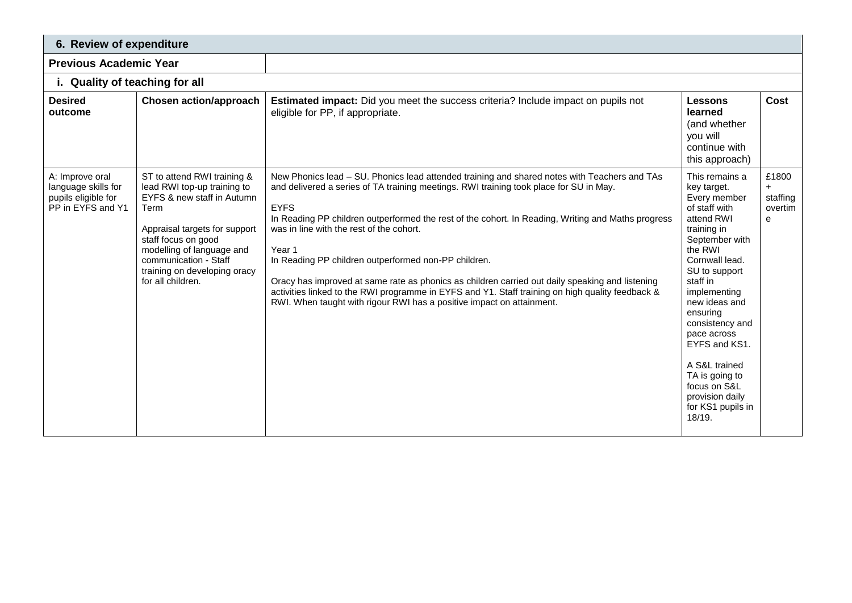| 6. Review of expenditure                                                           |                                                                                                                                                                                                                                                                     |                                                                                                                                                                                                                                                                                                                                                                                                                                                                                                                                                                                                                                                                                                           |                                                                                                                                                                                                                                                                                                                                                                              |                                          |  |  |  |
|------------------------------------------------------------------------------------|---------------------------------------------------------------------------------------------------------------------------------------------------------------------------------------------------------------------------------------------------------------------|-----------------------------------------------------------------------------------------------------------------------------------------------------------------------------------------------------------------------------------------------------------------------------------------------------------------------------------------------------------------------------------------------------------------------------------------------------------------------------------------------------------------------------------------------------------------------------------------------------------------------------------------------------------------------------------------------------------|------------------------------------------------------------------------------------------------------------------------------------------------------------------------------------------------------------------------------------------------------------------------------------------------------------------------------------------------------------------------------|------------------------------------------|--|--|--|
| <b>Previous Academic Year</b>                                                      |                                                                                                                                                                                                                                                                     |                                                                                                                                                                                                                                                                                                                                                                                                                                                                                                                                                                                                                                                                                                           |                                                                                                                                                                                                                                                                                                                                                                              |                                          |  |  |  |
|                                                                                    | i. Quality of teaching for all                                                                                                                                                                                                                                      |                                                                                                                                                                                                                                                                                                                                                                                                                                                                                                                                                                                                                                                                                                           |                                                                                                                                                                                                                                                                                                                                                                              |                                          |  |  |  |
| <b>Desired</b><br>outcome                                                          | <b>Chosen action/approach</b>                                                                                                                                                                                                                                       | <b>Estimated impact:</b> Did you meet the success criteria? Include impact on pupils not<br>eligible for PP, if appropriate.                                                                                                                                                                                                                                                                                                                                                                                                                                                                                                                                                                              | <b>Lessons</b><br>learned<br>(and whether<br>you will<br>continue with<br>this approach)                                                                                                                                                                                                                                                                                     | Cost                                     |  |  |  |
| A: Improve oral<br>language skills for<br>pupils eligible for<br>PP in EYFS and Y1 | ST to attend RWI training &<br>lead RWI top-up training to<br>EYFS & new staff in Autumn<br>Term<br>Appraisal targets for support<br>staff focus on good<br>modelling of language and<br>communication - Staff<br>training on developing oracy<br>for all children. | New Phonics lead - SU. Phonics lead attended training and shared notes with Teachers and TAs<br>and delivered a series of TA training meetings. RWI training took place for SU in May.<br><b>EYFS</b><br>In Reading PP children outperformed the rest of the cohort. In Reading, Writing and Maths progress<br>was in line with the rest of the cohort.<br>Year 1<br>In Reading PP children outperformed non-PP children.<br>Oracy has improved at same rate as phonics as children carried out daily speaking and listening<br>activities linked to the RWI programme in EYFS and Y1. Staff training on high quality feedback &<br>RWI. When taught with rigour RWI has a positive impact on attainment. | This remains a<br>key target.<br>Every member<br>of staff with<br>attend RWI<br>training in<br>September with<br>the RWI<br>Cornwall lead.<br>SU to support<br>staff in<br>implementing<br>new ideas and<br>ensuring<br>consistency and<br>pace across<br>EYFS and KS1.<br>A S&L trained<br>TA is going to<br>focus on S&L<br>provision daily<br>for KS1 pupils in<br>18/19. | £1800<br>$+$<br>staffing<br>overtim<br>e |  |  |  |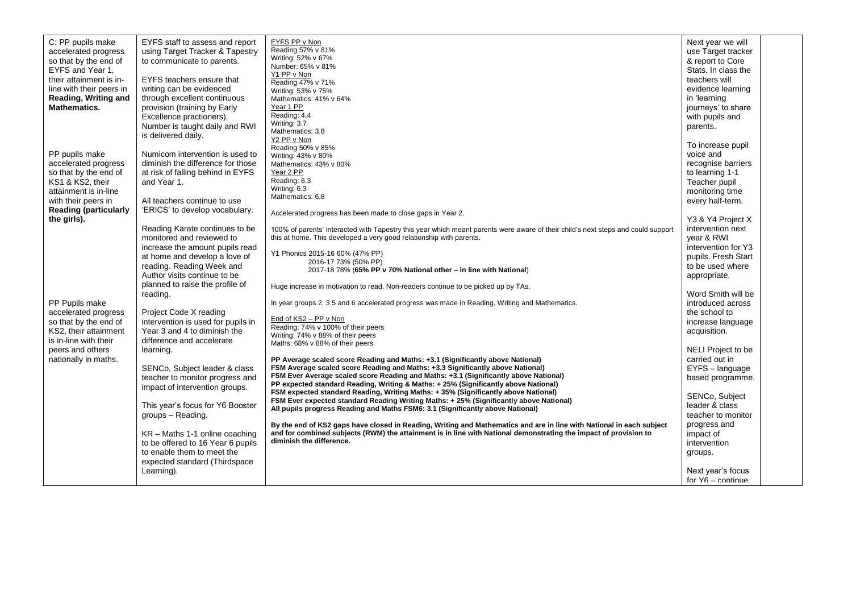| C: PP pupils make<br>accelerated progress<br>so that by the end of<br>EYFS and Year 1,<br>their attainment is in-<br>line with their peers in<br>Reading, Writing and<br><b>Mathematics.</b> | EYFS staff to assess and report<br>using Target Tracker & Tapestry<br>to communicate to parents.<br>EYFS teachers ensure that<br>writing can be evidenced<br>through excellent continuous<br>provision (training by Early<br>Excellence practioners).<br>Number is taught daily and RWI<br>is delivered daily.                                                           | EYFS PP v Non<br>Reading 57% v 81%<br>Writing: 52% v 67%<br>Number: 65% v 81%<br>Y1 PP v Non<br>Reading 47% v 71%<br>Writing: 53% v 75%<br>Mathematics: 41% v 64%<br>Year 1 PP<br>Reading: 4.4<br>Writing: 3.7<br>Mathematics: 3.8<br>Y2 PP v Non                                                                                                                                                                                                                                                                                                                                                                                                                                                                                                                                                                                                                                        | Next year we will<br>use Target tracker<br>& report to Core<br>Stats. In class the<br>teachers will<br>evidence learning<br>in 'learning<br>journeys' to share<br>with pupils and<br>parents.                                             |  |
|----------------------------------------------------------------------------------------------------------------------------------------------------------------------------------------------|--------------------------------------------------------------------------------------------------------------------------------------------------------------------------------------------------------------------------------------------------------------------------------------------------------------------------------------------------------------------------|------------------------------------------------------------------------------------------------------------------------------------------------------------------------------------------------------------------------------------------------------------------------------------------------------------------------------------------------------------------------------------------------------------------------------------------------------------------------------------------------------------------------------------------------------------------------------------------------------------------------------------------------------------------------------------------------------------------------------------------------------------------------------------------------------------------------------------------------------------------------------------------|-------------------------------------------------------------------------------------------------------------------------------------------------------------------------------------------------------------------------------------------|--|
| PP pupils make<br>accelerated progress<br>so that by the end of<br>KS1 & KS2, their<br>attainment is in-line<br>with their peers in<br><b>Reading (particularly</b><br>the girls).           | Numicom intervention is used to<br>diminish the difference for those<br>at risk of falling behind in EYFS<br>and Year 1.<br>All teachers continue to use<br>'ERICS' to develop vocabulary.                                                                                                                                                                               | Reading 50% v 85%<br>Writing: 43% v 80%<br>Mathematics: 43% v 80%<br>Year 2 PP<br>Reading: 6.3<br>Writing: 6.3<br>Mathematics: 6.8<br>Accelerated progress has been made to close gaps in Year 2.                                                                                                                                                                                                                                                                                                                                                                                                                                                                                                                                                                                                                                                                                        | To increase pupil<br>voice and<br>recognise barriers<br>to learning 1-1<br>Teacher pupil<br>monitoring time<br>every half-term.<br>Y3 & Y4 Project X                                                                                      |  |
| PP Pupils make<br>accelerated progress<br>so that by the end of<br>KS2, their attainment<br>is in-line with their                                                                            | Reading Karate continues to be<br>monitored and reviewed to<br>increase the amount pupils read<br>at home and develop a love of<br>reading. Reading Week and<br>Author visits continue to be<br>planned to raise the profile of<br>reading.<br>Project Code X reading<br>intervention is used for pupils in<br>Year 3 and 4 to diminish the<br>difference and accelerate | 100% of parents' interacted with Tapestry this year which meant parents were aware of their child's next steps and could support<br>this at home. This developed a very good relationship with parents.<br>Y1 Phonics 2015-16 60% (47% PP)<br>2016-17 73% (50% PP)<br>2017-18 78% (65% PP v 70% National other - in line with National)<br>Huge increase in motivation to read. Non-readers continue to be picked up by TAs.<br>In year groups 2, 3 5 and 6 accelerated progress was made in Reading, Writing and Mathematics.<br>End of KS2 - PP v Non<br>Reading: 74% v 100% of their peers<br>Writing: 74% v 88% of their peers<br>Maths: 68% v 88% of their peers                                                                                                                                                                                                                    | intervention next<br>year & RWI<br>intervention for Y3<br>pupils. Fresh Start<br>to be used where<br>appropriate.<br>Word Smith will be<br>introduced across<br>the school to<br>increase language<br>acquisition.                        |  |
| peers and others<br>nationally in maths.                                                                                                                                                     | learning.<br>SENCo, Subject leader & class<br>teacher to monitor progress and<br>impact of intervention groups.<br>This year's focus for Y6 Booster<br>groups - Reading.<br>KR – Maths 1-1 online coaching<br>to be offered to 16 Year 6 pupils<br>to enable them to meet the<br>expected standard (Thirdspace<br>Learning).                                             | PP Average scaled score Reading and Maths: +3.1 (Significantly above National)<br>FSM Average scaled score Reading and Maths: +3.3 Significantly above National)<br>FSM Ever Average scaled score Reading and Maths: +3.1 (Significantly above National)<br>PP expected standard Reading, Writing & Maths: + 25% (Significantly above National)<br>FSM expected standard Reading, Writing Maths: +35% (Significantly above National)<br>FSM Ever expected standard Reading Writing Maths: + 25% (Significantly above National)<br>All pupils progress Reading and Maths FSM6: 3.1 (Significantly above National)<br>By the end of KS2 gaps have closed in Reading, Writing and Mathematics and are in line with National in each subject<br>and for combined subjects (RWM) the attainment is in line with National demonstrating the impact of provision to<br>diminish the difference. | NELI Project to be<br>carried out in<br>EYFS - language<br>based programme.<br>SENCo, Subject<br>leader & class<br>teacher to monitor<br>progress and<br>impact of<br>intervention<br>groups.<br>Next year's focus<br>for $Y6 -$ continue |  |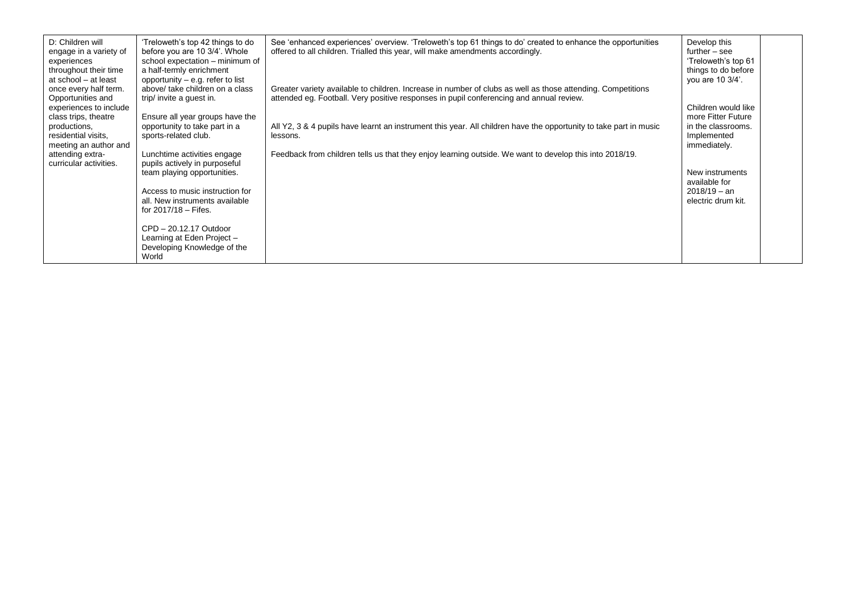| D: Children will<br>engage in a variety of<br>experiences<br>throughout their time<br>at school - at least<br>once every half term.<br>Opportunities and | 'Treloweth's top 42 things to do<br>before you are 10 3/4'. Whole<br>school expectation - minimum of<br>a half-termly enrichment<br>opportunity $-$ e.g. refer to list<br>above/ take children on a class<br>trip/ invite a guest in. | See 'enhanced experiences' overview. 'Treloweth's top 61 things to do' created to enhance the opportunities<br>offered to all children. Trialled this year, will make amendments accordingly.<br>Greater variety available to children. Increase in number of clubs as well as those attending. Competitions<br>attended eg. Football. Very positive responses in pupil conferencing and annual review. | Develop this<br>$further - see$<br>'Treloweth's top 61<br>things to do before<br>you are 10 3/4'. |  |
|----------------------------------------------------------------------------------------------------------------------------------------------------------|---------------------------------------------------------------------------------------------------------------------------------------------------------------------------------------------------------------------------------------|---------------------------------------------------------------------------------------------------------------------------------------------------------------------------------------------------------------------------------------------------------------------------------------------------------------------------------------------------------------------------------------------------------|---------------------------------------------------------------------------------------------------|--|
| experiences to include                                                                                                                                   |                                                                                                                                                                                                                                       |                                                                                                                                                                                                                                                                                                                                                                                                         | Children would like<br>more Fitter Future                                                         |  |
| class trips, theatre<br>productions,<br>residential visits,<br>meeting an author and                                                                     | Ensure all year groups have the<br>opportunity to take part in a<br>sports-related club.                                                                                                                                              | All Y2, 3 & 4 pupils have learnt an instrument this year. All children have the opportunity to take part in music<br>lessons.                                                                                                                                                                                                                                                                           | in the classrooms.<br>Implemented<br>immediately.                                                 |  |
| attending extra-<br>curricular activities.                                                                                                               | Lunchtime activities engage<br>pupils actively in purposeful                                                                                                                                                                          | Feedback from children tells us that they enjoy learning outside. We want to develop this into 2018/19.                                                                                                                                                                                                                                                                                                 |                                                                                                   |  |
|                                                                                                                                                          | team playing opportunities.                                                                                                                                                                                                           |                                                                                                                                                                                                                                                                                                                                                                                                         | New instruments<br>available for                                                                  |  |
|                                                                                                                                                          | Access to music instruction for<br>all. New instruments available<br>for $2017/18 -$ Fifes.                                                                                                                                           |                                                                                                                                                                                                                                                                                                                                                                                                         | $2018/19 - an$<br>electric drum kit.                                                              |  |
|                                                                                                                                                          | CPD - 20.12.17 Outdoor<br>Learning at Eden Project -<br>Developing Knowledge of the<br>World                                                                                                                                          |                                                                                                                                                                                                                                                                                                                                                                                                         |                                                                                                   |  |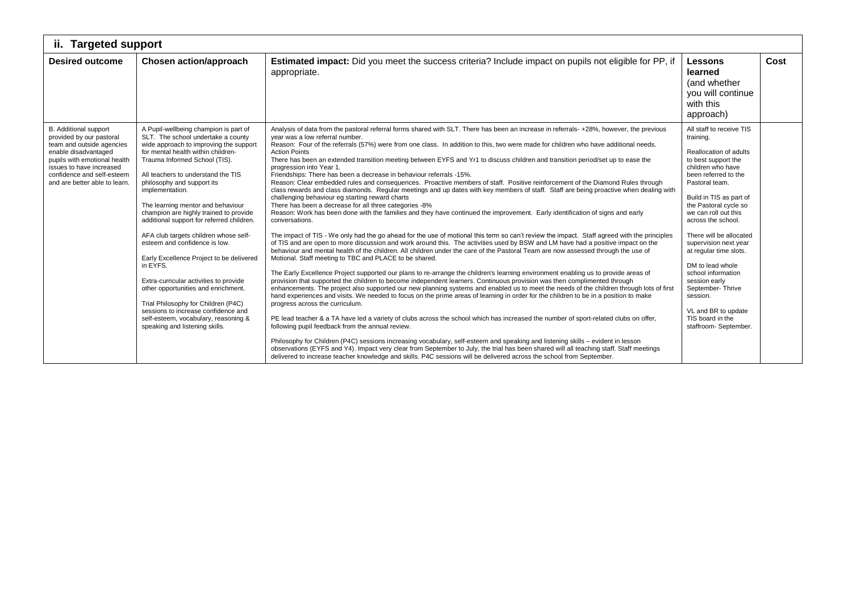| <b>Targeted support</b><br>ii.                                                                                                                                                                                                           |                                                                                                                                                                                                                                                                                                                                                                                                                                                                                                                                                                                                                                                                                                                                                                                            |                                                                                                                                                                                                                                                                                                                                                                                                                                                                                                                                                                                                                                                                                                                                                                                                                                                                                                                                                                                                                                                                                                                                                                                                                                                                                                                                                                                                                                                                                                                                                                                                                                                                                                                                                                                                                                                                                                                                                                                                                                                                                                                                                                                                                                                                                                                                                                                                                                                                                                                                                                                                                                                                                                                                                                                                         |                                                                                                                                                                                                                                                                                                                                                                                                                                                                                                      |      |  |  |
|------------------------------------------------------------------------------------------------------------------------------------------------------------------------------------------------------------------------------------------|--------------------------------------------------------------------------------------------------------------------------------------------------------------------------------------------------------------------------------------------------------------------------------------------------------------------------------------------------------------------------------------------------------------------------------------------------------------------------------------------------------------------------------------------------------------------------------------------------------------------------------------------------------------------------------------------------------------------------------------------------------------------------------------------|---------------------------------------------------------------------------------------------------------------------------------------------------------------------------------------------------------------------------------------------------------------------------------------------------------------------------------------------------------------------------------------------------------------------------------------------------------------------------------------------------------------------------------------------------------------------------------------------------------------------------------------------------------------------------------------------------------------------------------------------------------------------------------------------------------------------------------------------------------------------------------------------------------------------------------------------------------------------------------------------------------------------------------------------------------------------------------------------------------------------------------------------------------------------------------------------------------------------------------------------------------------------------------------------------------------------------------------------------------------------------------------------------------------------------------------------------------------------------------------------------------------------------------------------------------------------------------------------------------------------------------------------------------------------------------------------------------------------------------------------------------------------------------------------------------------------------------------------------------------------------------------------------------------------------------------------------------------------------------------------------------------------------------------------------------------------------------------------------------------------------------------------------------------------------------------------------------------------------------------------------------------------------------------------------------------------------------------------------------------------------------------------------------------------------------------------------------------------------------------------------------------------------------------------------------------------------------------------------------------------------------------------------------------------------------------------------------------------------------------------------------------------------------------------------------|------------------------------------------------------------------------------------------------------------------------------------------------------------------------------------------------------------------------------------------------------------------------------------------------------------------------------------------------------------------------------------------------------------------------------------------------------------------------------------------------------|------|--|--|
| <b>Desired outcome</b>                                                                                                                                                                                                                   | Chosen action/approach                                                                                                                                                                                                                                                                                                                                                                                                                                                                                                                                                                                                                                                                                                                                                                     | Estimated impact: Did you meet the success criteria? Include impact on pupils not eligible for PP, if<br>appropriate.                                                                                                                                                                                                                                                                                                                                                                                                                                                                                                                                                                                                                                                                                                                                                                                                                                                                                                                                                                                                                                                                                                                                                                                                                                                                                                                                                                                                                                                                                                                                                                                                                                                                                                                                                                                                                                                                                                                                                                                                                                                                                                                                                                                                                                                                                                                                                                                                                                                                                                                                                                                                                                                                                   | <b>Lessons</b><br>learned<br>(and whether<br>you will continue<br>with this<br>approach)                                                                                                                                                                                                                                                                                                                                                                                                             | Cost |  |  |
| <b>B.</b> Additional support<br>provided by our pastoral<br>team and outside agencies<br>enable disadvantaged<br>pupils with emotional health<br>issues to have increased<br>confidence and self-esteem<br>and are better able to learn. | A Pupil-wellbeing champion is part of<br>SLT. The school undertake a county<br>wide approach to improving the support<br>for mental health within children-<br>Trauma Informed School (TIS).<br>All teachers to understand the TIS<br>philosophy and support its<br>implementation.<br>The learning mentor and behaviour<br>champion are highly trained to provide<br>additional support for referred children.<br>AFA club targets children whose self-<br>esteem and confidence is low.<br>Early Excellence Project to be delivered<br>in EYFS.<br>Extra-curricular activities to provide<br>other opportunities and enrichment.<br>Trial Philosophy for Children (P4C)<br>sessions to increase confidence and<br>self-esteem, vocabulary, reasoning &<br>speaking and listening skills. | Analysis of data from the pastoral referral forms shared with SLT. There has been an increase in referrals-+28%, however, the previous<br>year was a low referral number.<br>Reason: Four of the referrals (57%) were from one class. In addition to this, two were made for children who have additional needs.<br><b>Action Points</b><br>There has been an extended transition meeting between EYFS and Yr1 to discuss children and transition period/set up to ease the<br>progression into Year 1.<br>Friendships: There has been a decrease in behaviour referrals -15%.<br>Reason: Clear embedded rules and consequences. Proactive members of staff. Positive reinforcement of the Diamond Rules through<br>class rewards and class diamonds. Regular meetings and up dates with key members of staff. Staff are being proactive when dealing with<br>challenging behaviour eg starting reward charts<br>There has been a decrease for all three categories -8%<br>Reason: Work has been done with the families and they have continued the improvement. Early identification of signs and early<br>conversations.<br>The impact of TIS - We only had the go ahead for the use of motional this term so can't review the impact. Staff agreed with the principles<br>of TIS and are open to more discussion and work around this. The activities used by BSW and LM have had a positive impact on the<br>behaviour and mental health of the children. All children under the care of the Pastoral Team are now assessed through the use of<br>Motional. Staff meeting to TBC and PLACE to be shared.<br>The Early Excellence Project supported our plans to re-arrange the children's learning environment enabling us to provide areas of<br>provision that supported the children to become independent learners. Continuous provision was then complimented through<br>enhancements. The project also supported our new planning systems and enabled us to meet the needs of the children through lots of first<br>hand experiences and visits. We needed to focus on the prime areas of learning in order for the children to be in a position to make<br>progress across the curriculum.<br>PE lead teacher & a TA have led a variety of clubs across the school which has increased the number of sport-related clubs on offer,<br>following pupil feedback from the annual review.<br>Philosophy for Children (P4C) sessions increasing vocabulary, self-esteem and speaking and listening skills – evident in lesson<br>observations (EYFS and Y4). Impact very clear from September to July, the trial has been shared will all teaching staff. Staff meetings<br>delivered to increase teacher knowledge and skills. P4C sessions will be delivered across the school from September. | All staff to receive TIS<br>training.<br>Reallocation of adults<br>to best support the<br>children who have<br>been referred to the<br>Pastoral team.<br>Build in TIS as part of<br>the Pastoral cycle so<br>we can roll out this<br>across the school.<br>There will be allocated<br>supervision next year<br>at regular time slots.<br>DM to lead whole<br>school information<br>session early<br>September-Thrive<br>session.<br>VL and BR to update<br>TIS board in the<br>staffroom- September. |      |  |  |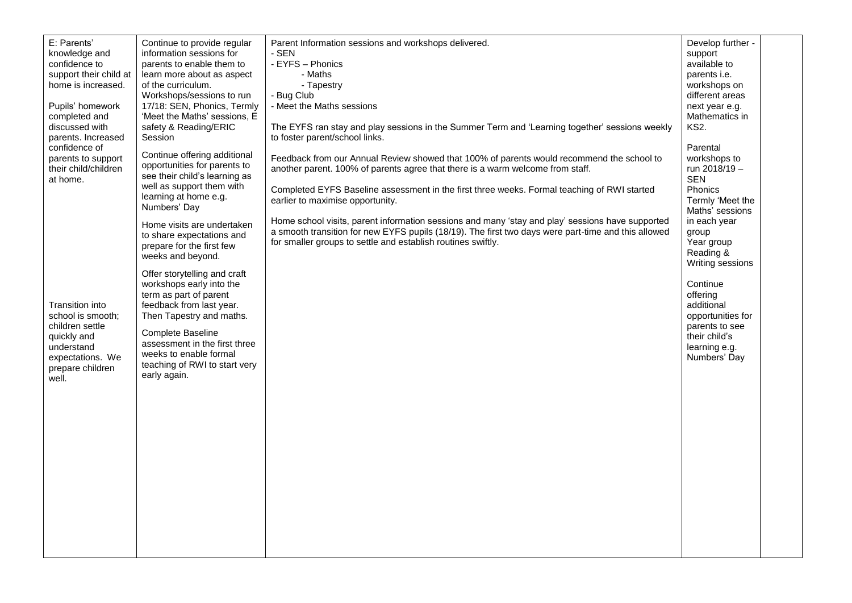| E: Parents'<br>knowledge and<br>confidence to<br>support their child at<br>home is increased.<br>Pupils' homework<br>completed and<br>discussed with<br>parents. Increased<br>confidence of<br>parents to support<br>their child/children | Continue to provide regular<br>information sessions for<br>parents to enable them to<br>learn more about as aspect<br>of the curriculum.<br>Workshops/sessions to run<br>17/18: SEN, Phonics, Termly<br>'Meet the Maths' sessions, E<br>safety & Reading/ERIC<br>Session<br>Continue offering additional<br>opportunities for parents to                                                                                                                                                               | Parent Information sessions and workshops delivered.<br>- SEN<br>- EYFS - Phonics<br>- Maths<br>- Tapestry<br>- Bug Club<br>- Meet the Maths sessions<br>The EYFS ran stay and play sessions in the Summer Term and 'Learning together' sessions weekly<br>to foster parent/school links.<br>Feedback from our Annual Review showed that 100% of parents would recommend the school to<br>another parent. 100% of parents agree that there is a warm welcome from staff. | Develop further -<br>support<br>available to<br>parents i.e.<br>workshops on<br>different areas<br>next year e.g.<br>Mathematics in<br>KS2.<br>Parental<br>workshops to<br>run 2018/19 -                                                                            |  |
|-------------------------------------------------------------------------------------------------------------------------------------------------------------------------------------------------------------------------------------------|--------------------------------------------------------------------------------------------------------------------------------------------------------------------------------------------------------------------------------------------------------------------------------------------------------------------------------------------------------------------------------------------------------------------------------------------------------------------------------------------------------|--------------------------------------------------------------------------------------------------------------------------------------------------------------------------------------------------------------------------------------------------------------------------------------------------------------------------------------------------------------------------------------------------------------------------------------------------------------------------|---------------------------------------------------------------------------------------------------------------------------------------------------------------------------------------------------------------------------------------------------------------------|--|
| at home.<br>Transition into<br>school is smooth;<br>children settle<br>quickly and<br>understand<br>expectations. We<br>prepare children<br>well.                                                                                         | see their child's learning as<br>well as support them with<br>learning at home e.g.<br>Numbers' Day<br>Home visits are undertaken<br>to share expectations and<br>prepare for the first few<br>weeks and beyond.<br>Offer storytelling and craft<br>workshops early into the<br>term as part of parent<br>feedback from last year.<br>Then Tapestry and maths.<br><b>Complete Baseline</b><br>assessment in the first three<br>weeks to enable formal<br>teaching of RWI to start very<br>early again. | Completed EYFS Baseline assessment in the first three weeks. Formal teaching of RWI started<br>earlier to maximise opportunity.<br>Home school visits, parent information sessions and many 'stay and play' sessions have supported<br>a smooth transition for new EYFS pupils (18/19). The first two days were part-time and this allowed<br>for smaller groups to settle and establish routines swiftly.                                                               | <b>SEN</b><br>Phonics<br>Termly 'Meet the<br>Maths' sessions<br>in each year<br>group<br>Year group<br>Reading &<br>Writing sessions<br>Continue<br>offering<br>additional<br>opportunities for<br>parents to see<br>their child's<br>learning e.g.<br>Numbers' Day |  |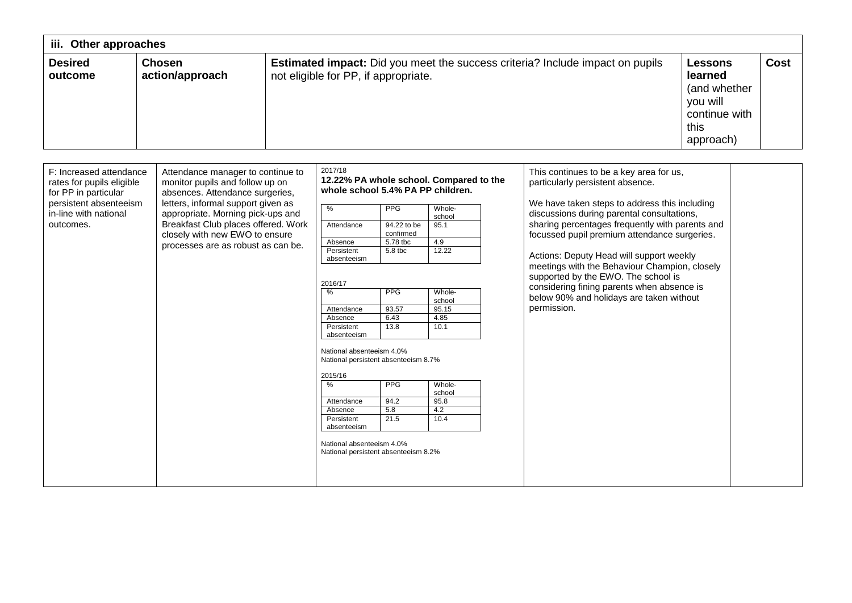| iii. Other approaches                                                                                                                        |                                                                                                                                                                                                                                                                                                   |  |                                                                                                                                                                                                                                                                                                                                                                                                                                                                  |                                                                                                                                             |                                                                                                                                  |  |                                                                                                                                                                                                                                                                                                                                                                                                                                                                                                                            |                                                                                             |      |
|----------------------------------------------------------------------------------------------------------------------------------------------|---------------------------------------------------------------------------------------------------------------------------------------------------------------------------------------------------------------------------------------------------------------------------------------------------|--|------------------------------------------------------------------------------------------------------------------------------------------------------------------------------------------------------------------------------------------------------------------------------------------------------------------------------------------------------------------------------------------------------------------------------------------------------------------|---------------------------------------------------------------------------------------------------------------------------------------------|----------------------------------------------------------------------------------------------------------------------------------|--|----------------------------------------------------------------------------------------------------------------------------------------------------------------------------------------------------------------------------------------------------------------------------------------------------------------------------------------------------------------------------------------------------------------------------------------------------------------------------------------------------------------------------|---------------------------------------------------------------------------------------------|------|
| <b>Desired</b><br>outcome                                                                                                                    | <b>Chosen</b><br>action/approach                                                                                                                                                                                                                                                                  |  | not eligible for PP, if appropriate.                                                                                                                                                                                                                                                                                                                                                                                                                             |                                                                                                                                             |                                                                                                                                  |  | <b>Estimated impact:</b> Did you meet the success criteria? Include impact on pupils                                                                                                                                                                                                                                                                                                                                                                                                                                       | <b>Lessons</b><br>learned<br>(and whether<br>you will<br>continue with<br>this<br>approach) | Cost |
| F: Increased attendance<br>rates for pupils eligible<br>for PP in particular<br>persistent absenteeism<br>in-line with national<br>outcomes. | Attendance manager to continue to<br>monitor pupils and follow up on<br>absences. Attendance surgeries,<br>letters, informal support given as<br>appropriate. Morning pick-ups and<br>Breakfast Club places offered. Work<br>closely with new EWO to ensure<br>processes are as robust as can be. |  | 2017/18<br>12.22% PA whole school. Compared to the<br>whole school 5.4% PA PP children.<br>$\frac{9}{6}$<br>Attendance<br>Absence<br>Persistent<br>absenteeism<br>2016/17<br>$\frac{9}{6}$<br>Attendance<br>Absence<br>Persistent<br>absenteeism<br>National absenteeism 4.0%<br>National persistent absenteeism 8.7%<br>2015/16<br>%<br>Attendance<br>Absence<br>Persistent<br>absenteeism<br>National absenteeism 4.0%<br>National persistent absenteeism 8.2% | <b>PPG</b><br>94.22 to be<br>confirmed<br>5.78 tbc<br>$5.8$ tbc<br><b>PPG</b><br>93.57<br>6.43<br>13.8<br><b>PPG</b><br>94.2<br>5.8<br>21.5 | Whole-<br>school<br>95.1<br>4.9<br>12.22<br>Whole-<br>school<br>95.15<br>4.85<br>10.1<br>Whole-<br>school<br>95.8<br>4.2<br>10.4 |  | This continues to be a key area for us,<br>particularly persistent absence.<br>We have taken steps to address this including<br>discussions during parental consultations,<br>sharing percentages frequently with parents and<br>focussed pupil premium attendance surgeries.<br>Actions: Deputy Head will support weekly<br>meetings with the Behaviour Champion, closely<br>supported by the EWO. The school is<br>considering fining parents when absence is<br>below 90% and holidays are taken without<br>permission. |                                                                                             |      |